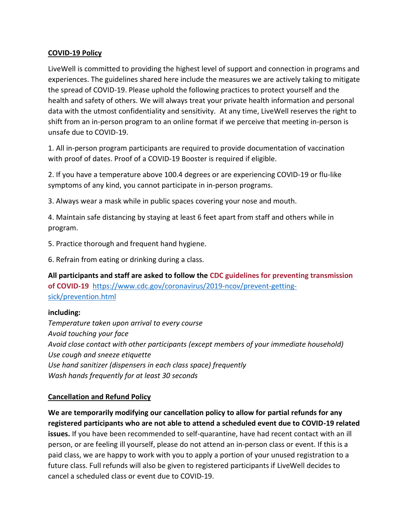### **COVID-19 Policy**

LiveWell is committed to providing the highest level of support and connection in programs and experiences. The guidelines shared here include the measures we are actively taking to mitigate the spread of COVID-19. Please uphold the following practices to protect yourself and the health and safety of others. We will always treat your private health information and personal data with the utmost confidentiality and sensitivity. At any time, LiveWell reserves the right to shift from an in-person program to an online format if we perceive that meeting in-person is unsafe due to COVID-19.

1. All in-person program participants are required to provide documentation of vaccination with proof of dates. Proof of a COVID-19 Booster is required if eligible.

2. If you have a temperature above 100.4 degrees or are experiencing COVID-19 or flu-like symptoms of any kind, you cannot participate in in-person programs.

3. Always wear a mask while in public spaces covering your nose and mouth.

4. Maintain safe distancing by staying at least 6 feet apart from staff and others while in program.

5. Practice thorough and frequent hand hygiene.

6. Refrain from eating or drinking during a class.

**All participants and staff are asked to follow the CDC guidelines for preventing transmission of COVID-19** [https://www.cdc.gov/coronavirus/2019-ncov/prevent-getting](https://www.cdc.gov/coronavirus/2019-ncov/prevent-getting-sick/prevention.html)[sick/prevention.html](https://www.cdc.gov/coronavirus/2019-ncov/prevent-getting-sick/prevention.html)

# **including:**

*Temperature taken upon arrival to every course Avoid touching your face Avoid close contact with other participants (except members of your immediate household) Use cough and sneeze etiquette Use hand sanitizer (dispensers in each class space) frequently Wash hands frequently for at least 30 seconds*

#### **Cancellation and Refund Policy**

**We are temporarily modifying our cancellation policy to allow for partial refunds for any registered participants who are not able to attend a scheduled event due to COVID-19 related issues.** If you have been recommended to self-quarantine, have had recent contact with an ill person, or are feeling ill yourself, please do not attend an in-person class or event. If this is a paid class, we are happy to work with you to apply a portion of your unused registration to a future class. Full refunds will also be given to registered participants if LiveWell decides to cancel a scheduled class or event due to COVID-19.